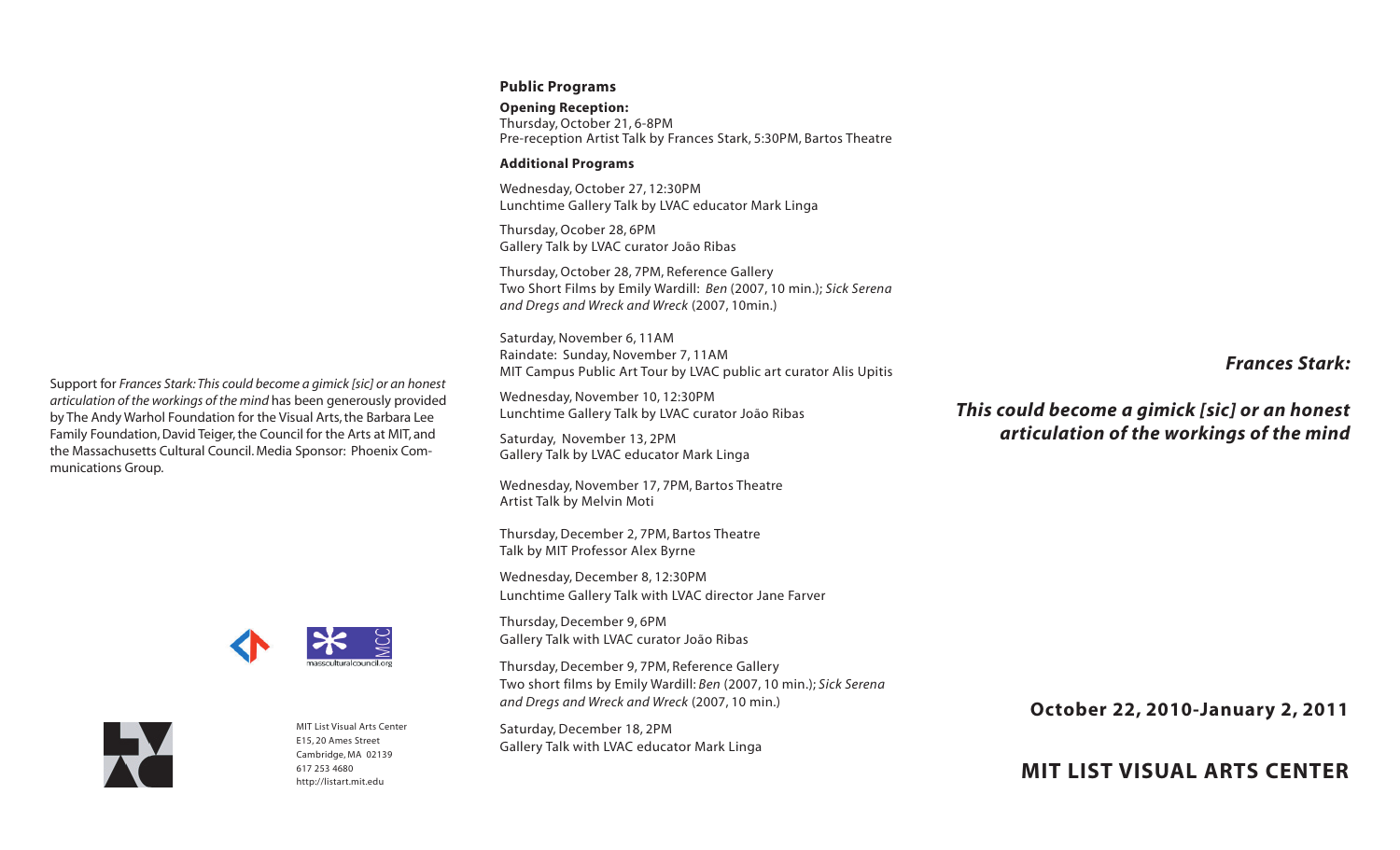### **Public Programs**

**Opening Reception:** Thursday, October 21, 6-8PM Pre-reception Artist Talk by Frances Stark, 5:30PM, Bartos Theatre

### **Additional Programs**

Wednesday, October 27, 12:30PM Lunchtime Gallery Talk by LVAC educator Mark Linga

Thursday, Ocober 28, 6PM Gallery Talk by LVAC curator João Ribas

Thursday, October 28, 7PM, Reference Gallery Two Short Films by Emily Wardill: *Ben* (2007, 10 min.); *Sick Serena and Dregs and Wreck and Wreck* (2007, 10min.)

Saturday, November 6, 11AM Raindate: Sunday, November 7, 11AM MIT Campus Public Art Tour by LVAC public art curator Alis Upitis

Wednesday, November 10, 12:30PM Lunchtime Gallery Talk by LVAC curator João Ribas

Saturday, November 13, 2PM Gallery Talk by LVAC educator Mark Linga

Wednesday, November 17, 7PM, Bartos Theatre Artist Talk by Melvin Moti

Thursday, December 2, 7PM, Bartos Theatre Talk by MIT Professor Alex Byrne

Wednesday, December 8, 12:30PM Lunchtime Gallery Talk with LVAC director Jane Farver

Thursday, December 9, 6PM Gallery Talk with LVAC curator João Ribas

Thursday, December 9, 7PM, Reference Gallery Two short films by Emily Wardill: *Ben* (2007, 10 min.); *Sick Serena and Dregs and Wreck and Wreck* (2007, 10 min.)

Saturday, December 18, 2PM Gallery Talk with LVAC educator Mark Linga

# *Frances Stark:*

*This could become a gimick [sic] or an honest articulation of the workings of the mind*

**October 22, 2010-January 2, 2011**

**MIT LIST VISUAL ARTS CENTER**

Support for *Frances Stark:This could become a gimick [sic] or an honest articulation of the workings of the mind* has been generously provided by The Andy Warhol Foundation for the Visual Arts, the Barbara Lee Family Foundation, David Teiger, the Council for the Arts at MIT, and the Massachusetts Cultural Council. Media Sponsor: Phoenix Communications Group.





MIT List Visual Arts Center E15, 20 Ames Street Cambridge, MA 02139 617 253 [4680](tel:6172534680) <http://listart.mit.edu>